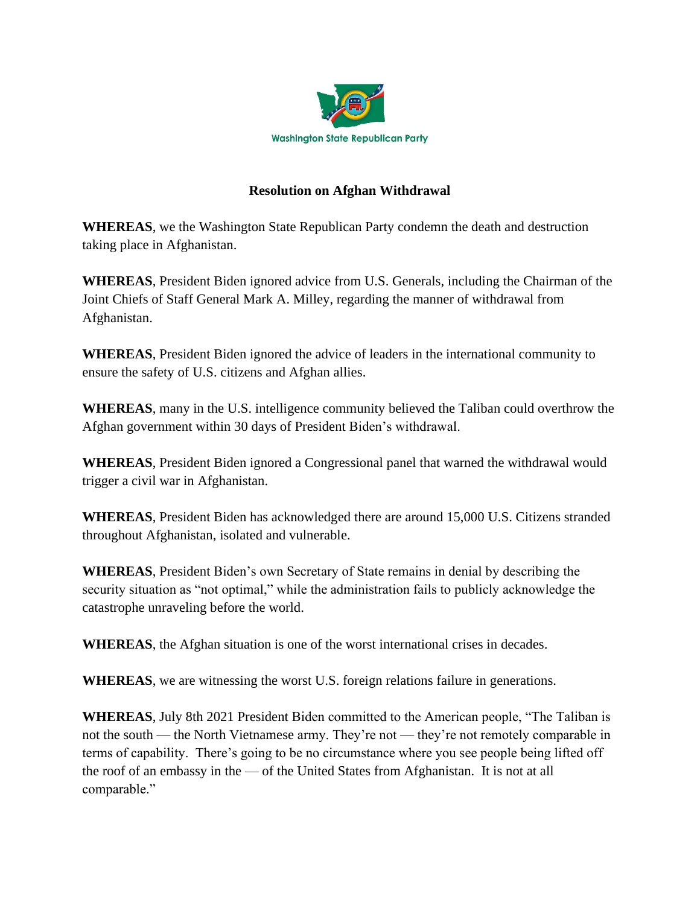

## **Resolution on Afghan Withdrawal**

**WHEREAS**, we the Washington State Republican Party condemn the death and destruction taking place in Afghanistan.

**WHEREAS**, President Biden ignored advice from U.S. Generals, including the Chairman of the Joint Chiefs of Staff General Mark A. Milley, regarding the manner of withdrawal from Afghanistan.

**WHEREAS**, President Biden ignored the advice of leaders in the international community to ensure the safety of U.S. citizens and Afghan allies.

**WHEREAS**, many in the U.S. intelligence community believed the Taliban could overthrow the Afghan government within 30 days of President Biden's withdrawal.

**WHEREAS**, President Biden ignored a Congressional panel that warned the withdrawal would trigger a civil war in Afghanistan.

**WHEREAS**, President Biden has acknowledged there are around 15,000 U.S. Citizens stranded throughout Afghanistan, isolated and vulnerable.

**WHEREAS**, President Biden's own Secretary of State remains in denial by describing the security situation as "not optimal," while the administration fails to publicly acknowledge the catastrophe unraveling before the world.

**WHEREAS**, the Afghan situation is one of the worst international crises in decades.

**WHEREAS**, we are witnessing the worst U.S. foreign relations failure in generations.

**WHEREAS**, July 8th 2021 President Biden committed to the American people, "The Taliban is not the south — the North Vietnamese army. They're not — they're not remotely comparable in terms of capability. There's going to be no circumstance where you see people being lifted off the roof of an embassy in the — of the United States from Afghanistan. It is not at all comparable."